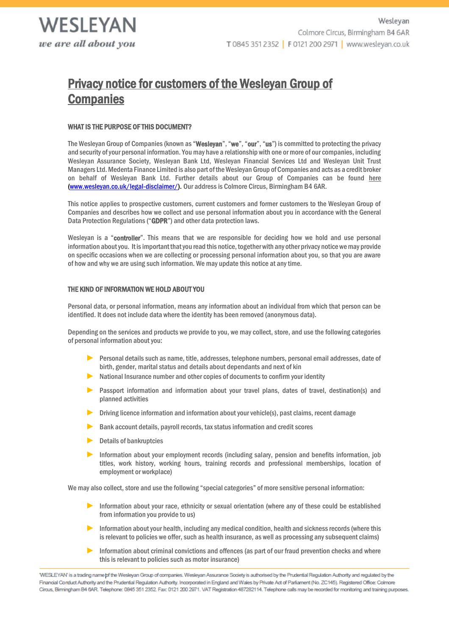# Privacy notice for customers of the Wesleyan Group of **Companies**

# WHAT IS THE PURPOSE OF THIS DOCUMENT?

The Wesleyan Group of Companies (known as "Wesleyan", "we", "our", "us") is committed to protecting the privacy and security of your personal information. You may have a relationship with one or more of our companies, including Wesleyan Assurance Society, Wesleyan Bank Ltd, Wesleyan Financial Services Ltd and Wesleyan Unit Trust Managers Ltd. Medenta Finance Limited is also part of the Wesleyan Group of Companies and acts as a credit broker on behalf of Wesleyan Bank Ltd. Further details about our Group of Companies can be found [here](https://www.wesleyan.co.uk/legal-disclaimer/) [\(www.wesleyan.co.uk/legal-disclaimer/\)](file://///Wesleyan.local/Department%20Folders/Group%20Security/Data%20Protection/Policies%20and%20Procedures/Privacy%20Notices/www.wesleyan.co.uk/legal-disclaimer/). Our address is Colmore Circus, Birmingham B4 6AR.

This notice applies to prospective customers, current customers and former customers to the Wesleyan Group of Companies and describes how we collect and use personal information about you in accordance with the General Data Protection Regulations ("GDPR") and other data protection laws.

Wesleyan is a "controller". This means that we are responsible for deciding how we hold and use personal information about you. It is important that you read this notice, together with any other privacy notice we may provide on specific occasions when we are collecting or processing personal information about you, so that you are aware of how and why we are using such information. We may update this notice at any time.

# <span id="page-0-0"></span>THE KIND OF INFORMATION WE HOLD ABOUT YOU

Personal data, or personal information, means any information about an individual from which that person can be identified. It does not include data where the identity has been removed (anonymous data).

Depending on the services and products we provide to you, we may collect, store, and use the following categories of personal information about you:

- ► Personal details such as name, title, addresses, telephone numbers, personal email addresses, date of birth, gender, marital status and details about dependants and next of kin
- $\triangleright$  National Insurance number and other copies of documents to confirm your identity
- ▶ Passport information and information about your travel plans, dates of travel, destination(s) and planned activities
- Driving licence information and information about your vehicle(s), past claims, recent damage
- Bank account details, payroll records, tax status information and credit scores
- ► Details of bankruptcies
- ► Information about your employment records (including salary, pension and benefits information, job titles, work history, working hours, training records and professional memberships, location of employment or workplace)

We may also collect, store and use the following "special categories" of more sensitive personal information:

- Information about your race, ethnicity or sexual orientation (where any of these could be established from information you provide to us)
- ► Information about your health, including any medical condition, health and sickness records (where this is relevant to policies we offer, such as health insurance, as well as processing any subsequent claims)
- ► Information about criminal convictions and offences (as part of our fraud prevention checks and where this is relevant to policies such as motor insurance)

WESLEYAN' is a trading name pf the Wesleyan Group of companies. Wesleyan Assurance Society is authorised by the Prudential Regulation Authority and regulated by the Financial Conduct Authority and the Prudential Regulation Authority. Incorporated in England and Wales by Private Act of Parliament (No. ZC145). Registered Office: Colmore Circus, Birmingham B4 6AR. Telephone: 0845 351 2352. Fax: 0121 200 2971. VAT Registration 487282114. Telephone calls may be recorded for monitoring and training purposes.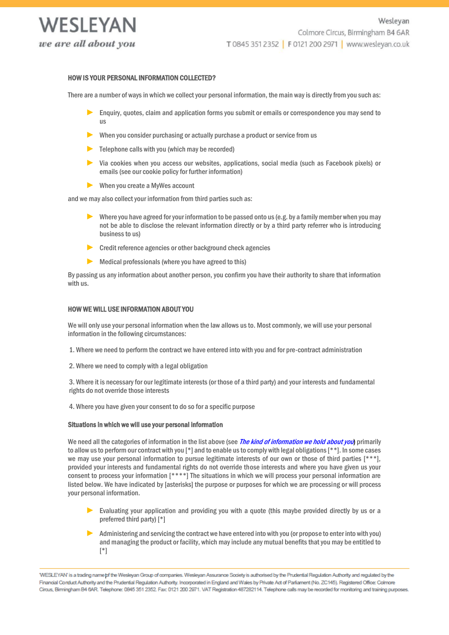

# HOW IS YOUR PERSONAL INFORMATION COLLECTED?

There are a number of ways in which we collect your personal information, the main way is directly from you such as:

- ► Enquiry, quotes, claim and application forms you submit or emails or correspondence you may send to us
- When you consider purchasing or actually purchase a product or service from us
- $\blacktriangleright$  Telephone calls with you (which may be recorded)
- ► Via cookies when you access our websites, applications, social media (such as Facebook pixels) or emails (see our cookie policy for further information)
- ► When you create a MyWes account

and we may also collect your information from third parties such as:

- ▶ Where you have agreed for your information to be passed onto us (e.g. by a family member when you may not be able to disclose the relevant information directly or by a third party referrer who is introducing business to us)
- ► Credit reference agencies or other background check agencies
- ► Medical professionals (where you have agreed to this)

By passing us any information about another person, you confirm you have their authority to share that information with us.

#### HOW WE WILL USE INFORMATION ABOUT YOU

We will only use your personal information when the law allows us to. Most commonly, we will use your personal information in the following circumstances:

- 1. Where we need to perform the contract we have entered into with you and for pre-contract administration
- 2. Where we need to comply with a legal obligation

3. Where it is necessary for our legitimate interests (or those of a third party) and your interests and fundamental rights do not override those interests

4. Where you have given your consent to do so for a specific purpose

#### Situations in which we will use your personal information

We need all the categories of information in the list above (see *[The kind of information we hold about you](#page-0-0)*) primarily to allow us to perform our contract with you [\*] and to enable us to comply with legal obligations [\*\*]. In some cases we may use your personal information to pursue legitimate interests of our own or those of third parties [\*\*\*], provided your interests and fundamental rights do not override those interests and where you have given us your consent to process your information [\*\*\*\*] The situations in which we will process your personal information are listed below. We have indicated by [asterisks] the purpose or purposes for which we are processing or will process your personal information.

- Evaluating your application and providing you with a quote (this maybe provided directly by us or a preferred third party) [\*]
- ► Administering and servicing the contract we have entered into with you (or propose to enter into with you) and managing the product or facility, which may include any mutual benefits that you may be entitled to [\*]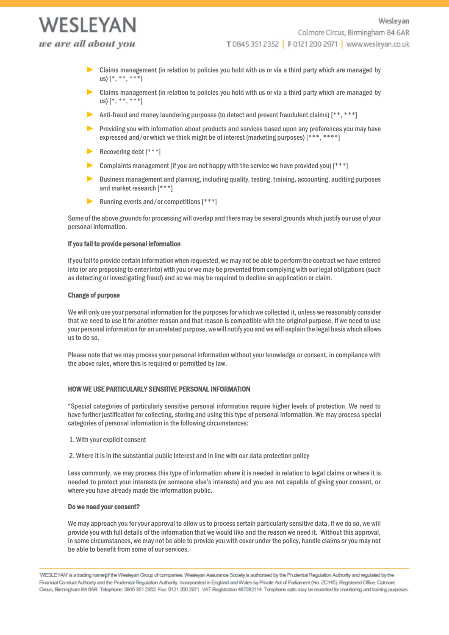WESI FYAN we are all about you

- ► Claims management (in relation to policies you hold with us or via a third party which are managed by us) [\*, \*\*, \*\*\*]
- ► Claims management (in relation to policies you hold with us or via a third party which are managed by us) [\*, \*\*, \*\*\*]
- ► Anti-fraud and money laundering purposes (to detect and prevent fraudulent claims) [\*\*, \*\*\*]
- Providing you with information about products and services based upon any preferences you may have expressed and/or which we think might be of interest (marketing purposes) [\*\*\*, \*\*\*\*]
- ► Recovering debt [\*\*\*]
- $\triangleright$  Complaints management (if you are not happy with the service we have provided you)  $[^{***]}$
- ► Business management and planning, including quality, testing, training, accounting, auditing purposes and market research [\*\*\*]
- ▶ Running events and/or competitions [\*\*\*]

Some of the above grounds for processing will overlap and there may be several grounds which justify our use of your personal information.

# If you fail to provide personal information

If you fail to provide certain information when requested, we may not be able to perform the contract we have entered into (or are proposing to enter into) with you or we may be prevented from complying with our legal obligations (such as detecting or investigating fraud) and so we may be required to decline an application or claim.

# Change of purpose

We will only use your personal information for the purposes for which we collected it, unless we reasonably consider that we need to use it for another reason and that reason is compatible with the original purpose. If we need to use your personal information for an unrelated purpose, we will notify you and we will explain the legal basis which allows us to do so.

Please note that we may process your personal information without your knowledge or consent, in compliance with the above rules, where this is required or permitted by law.

## HOW WE USE PARTICULARLY SENSITIVE PERSONAL INFORMATION

"Special categories of particularly sensitive personal information require higher levels of protection. We need to have further justification for collecting, storing and using this type of personal information. We may process special categories of personal information in the following circumstances:

- 1. With your explicit consent
- 2. Where it is in the substantial public interest and in line with our data protection policy

Less commonly, we may process this type of information where it is needed in relation to legal claims or where it is needed to protect your interests (or someone else's interests) and you are not capable of giving your consent, or where you have already made the information public.

## Do we need your consent?

We may approach you for your approval to allow us to process certain particularly sensitive data. If we do so, we will provide you with full details of the information that we would like and the reason we need it. Without this approval, in some circumstances, we may not be able to provide you with cover under the policy, handle claims or you may not be able to benefit from some of our services.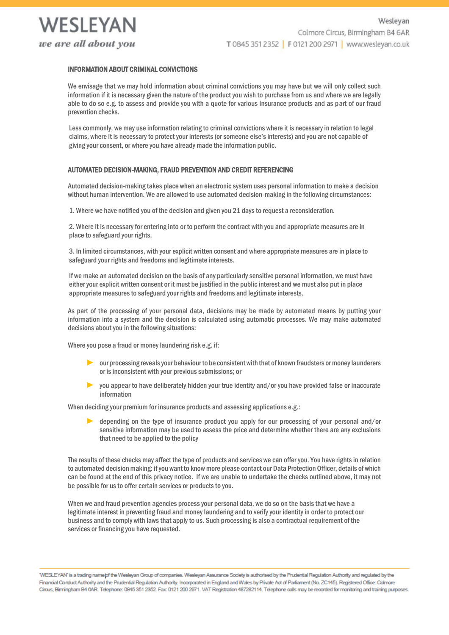

# INFORMATION ABOUT CRIMINAL CONVICTIONS

We envisage that we may hold information about criminal convictions you may have but we will only collect such information if it is necessary given the nature of the product you wish to purchase from us and where we are legally able to do so e.g. to assess and provide you with a quote for various insurance products and as part of our fraud prevention checks.

Less commonly, we may use information relating to criminal convictions where it is necessary in relation to legal claims, where it is necessary to protect your interests (or someone else's interests) and you are not capable of giving your consent, or where you have already made the information public.

# AUTOMATED DECISION-MAKING, FRAUD PREVENTION AND CREDIT REFERENCING

Automated decision-making takes place when an electronic system uses personal information to make a decision without human intervention. We are allowed to use automated decision-making in the following circumstances:

1. Where we have notified you of the decision and given you 21 days to request a reconsideration.

2. Where it is necessary for entering into or to perform the contract with you and appropriate measures are in place to safeguard your rights.

3. In limited circumstances, with your explicit written consent and where appropriate measures are in place to safeguard your rights and freedoms and legitimate interests.

If we make an automated decision on the basis of any particularly sensitive personal information, we must have either your explicit written consent or it must be justified in the public interest and we must also put in place appropriate measures to safeguard your rights and freedoms and legitimate interests.

As part of the processing of your personal data, decisions may be made by automated means by putting your information into a system and the decision is calculated using automatic processes. We may make automated decisions about you in the following situations:

Where you pose a fraud or money laundering risk e.g. if:

- ► our processing reveals your behaviour to be consistent with that of known fraudsters or money launderers or is inconsistent with your previous submissions; or
- you appear to have deliberately hidden your true identity and/or you have provided false or inaccurate information

When deciding your premium for insurance products and assessing applications e.g.:

► depending on the type of insurance product you apply for our processing of your personal and/or sensitive information may be used to assess the price and determine whether there are any exclusions that need to be applied to the policy

The results of these checks may affect the type of products and services we can offer you. You have rights in relation to automated decision making: if you want to know more please contact our Data Protection Officer, details of which can be found at the end of this privacy notice. If we are unable to undertake the checks outlined above, it may not be possible for us to offer certain services or products to you.

When we and fraud prevention agencies process your personal data, we do so on the basis that we have a legitimate interest in preventing fraud and money laundering and to verify your identity in order to protect our business and to comply with laws that apply to us. Such processing is also a contractual requirement of the services or financing you have requested.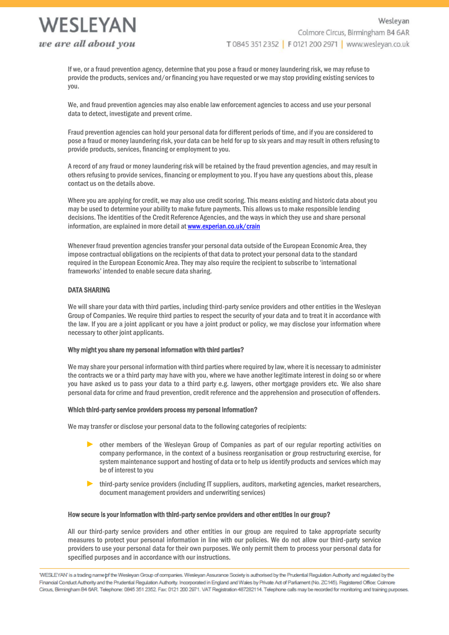

If we, or a fraud prevention agency, determine that you pose a fraud or money laundering risk, we may refuse to provide the products, services and/or financing you have requested or we may stop providing existing services to you.

We, and fraud prevention agencies may also enable law enforcement agencies to access and use your personal data to detect, investigate and prevent crime.

Fraud prevention agencies can hold your personal data for different periods of time, and if you are considered to pose a fraud or money laundering risk, your data can be held for up to six years and may result in others refusing to provide products, services, financing or employment to you.

A record of any fraud or money laundering risk will be retained by the fraud prevention agencies, and may result in others refusing to provide services, financing or employment to you. If you have any questions about this, please contact us on the details above.

Where you are applying for credit, we may also use credit scoring. This means existing and historic data about you may be used to determine your ability to make future payments. This allows us to make responsible lending decisions. The identities of the Credit Reference Agencies, and the ways in which they use and share personal information, are explained in more detail a[t www.experian.co.uk/crain](file://///Wesleyan.local/Department%20Folders/Group%20Security/Data%20Protection/Policies%20and%20Procedures/Privacy%20Notices/www.experian.co.uk/crain)

Whenever fraud prevention agencies transfer your personal data outside of the European Economic Area, they impose contractual obligations on the recipients of that data to protect your personal data to the standard required in the European Economic Area. They may also require the recipient to subscribe to 'international frameworks' intended to enable secure data sharing.

# DATA SHARING

We will share your data with third parties, including third-party service providers and other entities in the Wesleyan Group of Companies. We require third parties to respect the security of your data and to treat it in accordance with the law. If you are a joint applicant or you have a joint product or policy, we may disclose your information where necessary to other joint applicants.

## Why might you share my personal information with third parties?

We may share your personal information with third parties where required by law, where it is necessary to administer the contracts we or a third party may have with you, where we have another legitimate interest in doing so or where you have asked us to pass your data to a third party e.g. lawyers, other mortgage providers etc. We also share personal data for crime and fraud prevention, credit reference and the apprehension and prosecution of offenders.

## Which third-party service providers process my personal information?

We may transfer or disclose your personal data to the following categories of recipients:

- ► other members of the Wesleyan Group of Companies as part of our regular reporting activities on company performance, in the context of a business reorganisation or group restructuring exercise, for system maintenance support and hosting of data or to help us identify products and services which may be of interest to you
- ► third-party service providers (including IT suppliers, auditors, marketing agencies, market researchers, document management providers and underwriting services)

#### How secure is your information with third-party service providers and other entities in our group?

All our third-party service providers and other entities in our group are required to take appropriate security measures to protect your personal information in line with our policies. We do not allow our third-party service providers to use your personal data for their own purposes. We only permit them to process your personal data for specified purposes and in accordance with our instructions.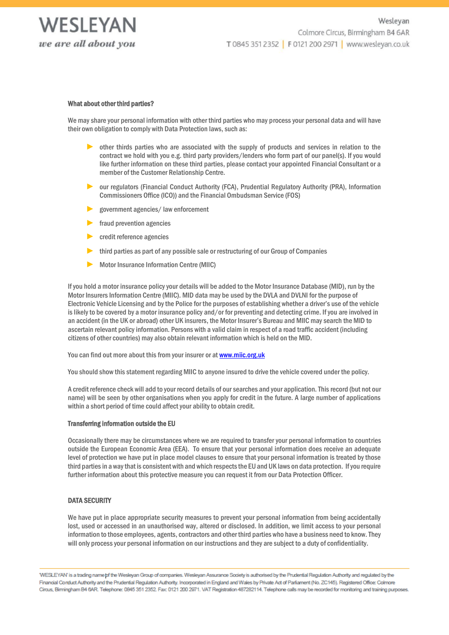

#### What about other third parties?

We may share your personal information with other third parties who may process your personal data and will have their own obligation to comply with Data Protection laws, such as:

- other thirds parties who are associated with the supply of products and services in relation to the contract we hold with you e.g. third party providers/lenders who form part of our panel(s). If you would like further information on these third parties, please contact your appointed Financial Consultant or a member of the Customer Relationship Centre.
- ► our regulators (Financial Conduct Authority (FCA), Prudential Regulatory Authority (PRA), Information Commissioners Office (ICO)) and the Financial Ombudsman Service (FOS)
- government agencies/ law enforcement
- fraud prevention agencies
- credit reference agencies
- ► third parties as part of any possible sale or restructuring of our Group of Companies
- ► Motor Insurance Information Centre (MIIC)

If you hold a motor insurance policy your details will be added to the Motor Insurance Database (MID), run by the Motor Insurers Information Centre (MIIC). MID data may be used by the DVLA and DVLNI for the purpose of Electronic Vehicle Licensing and by the Police for the purposes of establishing whether a driver's use of the vehicle is likely to be covered by a motor insurance policy and/or for preventing and detecting crime. If you are involved in an accident (in the UK or abroad) other UK insurers, the Motor Insurer's Bureau and MIIC may search the MID to ascertain relevant policy information. Persons with a valid claim in respect of a road traffic accident (including citizens of other countries) may also obtain relevant information which is held on the MID.

You can find out more about this from your insurer or at [www.miic.org.uk](file://///Wesleyan.local/Department%20Folders/Group%20Security/Data%20Protection/Policies%20and%20Procedures/Privacy%20Notices/www.miic.org.uk)

You should show this statement regarding MIIC to anyone insured to drive the vehicle covered under the policy.

A credit reference check will add to your record details of our searches and your application. This record (but not our name) will be seen by other organisations when you apply for credit in the future. A large number of applications within a short period of time could affect your ability to obtain credit.

#### Transferring information outside the EU

Occasionally there may be circumstances where we are required to transfer your personal information to countries outside the European Economic Area (EEA). To ensure that your personal information does receive an adequate level of protection we have put in place model clauses to ensure that your personal information is treated by those third parties in a way that is consistent with and which respects the EU and UK laws on data protection. If you require further information about this protective measure you can request it from our Data Protection Officer.

# DATA SECURITY

We have put in place appropriate security measures to prevent your personal information from being accidentally lost, used or accessed in an unauthorised way, altered or disclosed. In addition, we limit access to your personal information to those employees, agents, contractors and other third parties who have a business need to know. They will only process your personal information on our instructions and they are subject to a duty of confidentiality.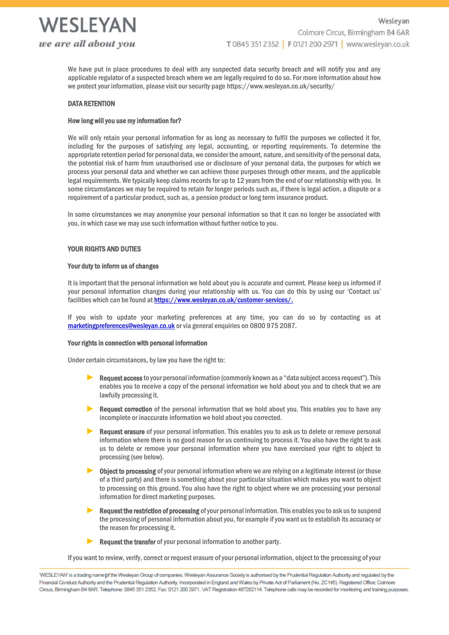

We have put in place procedures to deal with any suspected data security breach and will notify you and any applicable regulator of a suspected breach where we are legally required to do so. For more information about how we protect your information, please visit our security page https://www.wesleyan.co.uk/security/

# DATA RETENTION

## How long will you use my information for?

We will only retain your personal information for as long as necessary to fulfil the purposes we collected it for, including for the purposes of satisfying any legal, accounting, or reporting requirements. To determine the appropriate retention period for personal data, we consider the amount, nature, and sensitivity of the personal data, the potential risk of harm from unauthorised use or disclosure of your personal data, the purposes for which we process your personal data and whether we can achieve those purposes through other means, and the applicable legal requirements. We typically keep claims records for up to 12 years from the end of our relationship with you. In some circumstances we may be required to retain for longer periods such as, if there is legal action, a dispute or a requirement of a particular product, such as, a pension product or long term insurance product.

In some circumstances we may anonymise your personal information so that it can no longer be associated with you, in which case we may use such information without further notice to you.

# YOUR RIGHTS AND DUTIES

## Your duty to inform us of changes

It is important that the personal information we hold about you is accurate and current. Please keep us informed if your personal information changes during your relationship with us. You can do this by using our 'Contact us' facilities which can be found a[t https://www.wesleyan.co.uk/customer-services/.](https://www.wesleyan.co.uk/customer-services/)

If you wish to update your marketing preferences at any time, you can do so by contacting us at [marketingpreferences@wesleyan.co.uk](file://///Wesleyan.local/Department%20Folders/Group%20Security/Data%20Protection/Policies%20and%20Procedures/Privacy%20Notices/marketingpreferences@wesleyan.co.uk) or via general enquiries on 0800 975 2087.

## Your rights in connection with personal information

Under certain circumstances, by law you have the right to:

- ► Request access to your personal information (commonly known as a "data subject access request"). This enables you to receive a copy of the personal information we hold about you and to check that we are lawfully processing it.
- ► Request correction of the personal information that we hold about you. This enables you to have any incomplete or inaccurate information we hold about you corrected.
- Request erasure of your personal information. This enables you to ask us to delete or remove personal information where there is no good reason for us continuing to process it. You also have the right to ask us to delete or remove your personal information where you have exercised your right to object to processing (see below).
- Object to processing of your personal information where we are relying on a legitimate interest (or those of a third party) and there is something about your particular situation which makes you want to object to processing on this ground. You also have the right to object where we are processing your personal information for direct marketing purposes.
- Request the restriction of processing of your personal information. This enables you to ask us to suspend the processing of personal information about you, for example if you want us to establish its accuracy or the reason for processing it.
- ▶ Request the transfer of your personal information to another party.

If you want to review, verify, correct or request erasure of your personal information, object to the processing of your